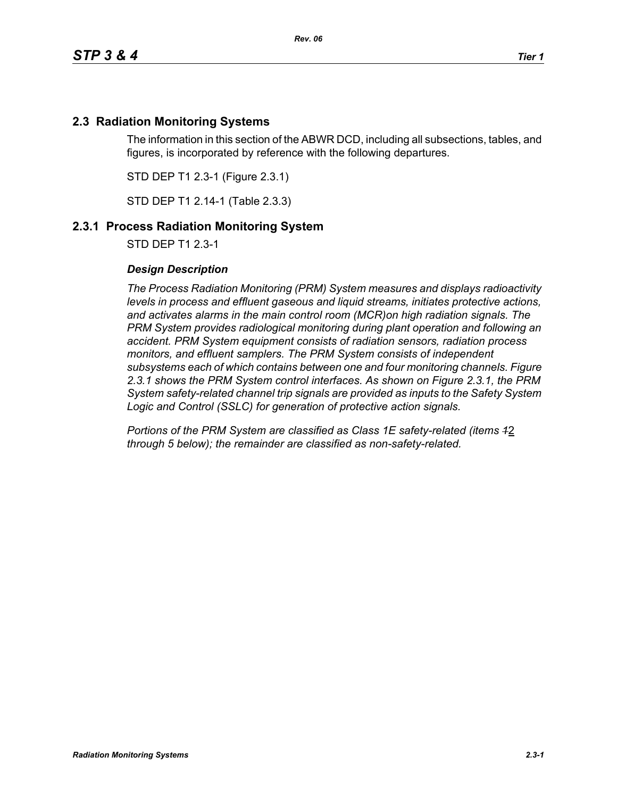## **2.3 Radiation Monitoring Systems**

The information in this section of the ABWR DCD, including all subsections, tables, and figures, is incorporated by reference with the following departures.

STD DEP T1 2.3-1 (Figure 2.3.1)

STD DEP T1 2.14-1 (Table 2.3.3)

## **2.3.1 Process Radiation Monitoring System**

STD DEP T1 2.3-1

#### *Design Description*

*The Process Radiation Monitoring (PRM) System measures and displays radioactivity levels in process and effluent gaseous and liquid streams, initiates protective actions, and activates alarms in the main control room (MCR)on high radiation signals. The PRM System provides radiological monitoring during plant operation and following an accident. PRM System equipment consists of radiation sensors, radiation process monitors, and effluent samplers. The PRM System consists of independent subsystems each of which contains between one and four monitoring channels. Figure 2.3.1 shows the PRM System control interfaces. As shown on Figure 2.3.1, the PRM System safety-related channel trip signals are provided as inputs to the Safety System Logic and Control (SSLC) for generation of protective action signals.*

*Portions of the PRM System are classified as Class 1E safety-related (items 1*2 *through 5 below); the remainder are classified as non-safety-related.*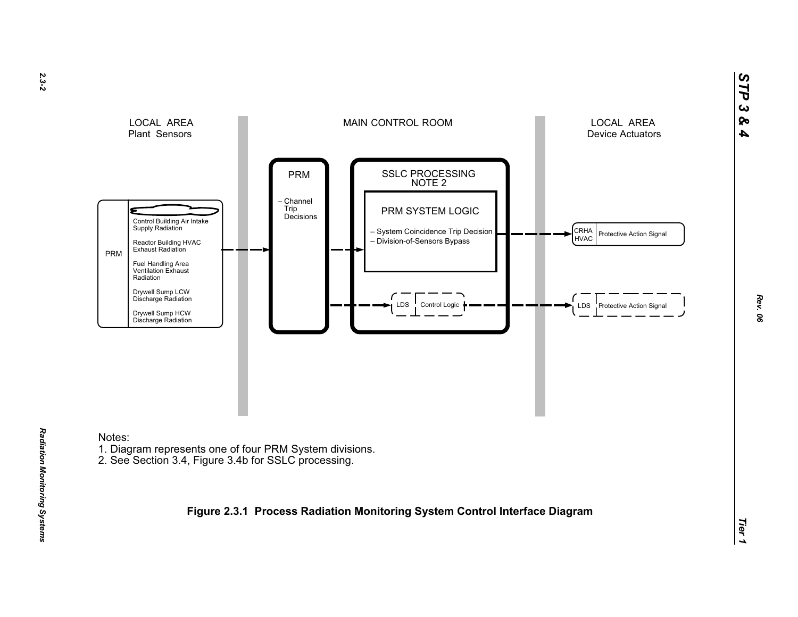

# Notes:

- 1. Diagram represents one of four PRM System divisions.
- 2. See Section 3.4, Figure 3.4b for SSLC processing.

**Figure 2.3.1 Process Radiation Monitoring System Control Interface Diagram**

*STP 3 & 4*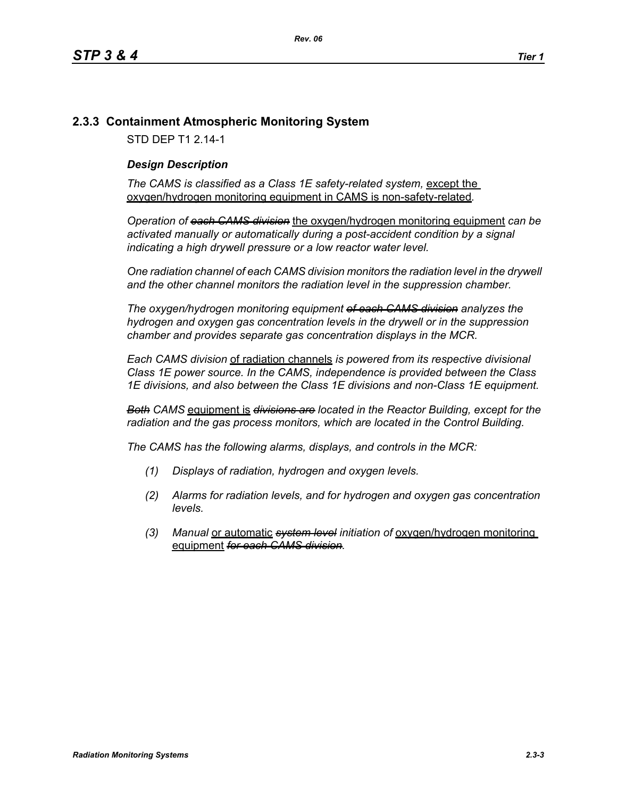# **2.3.3 Containment Atmospheric Monitoring System**

STD DEP T1 2.14-1

## *Design Description*

The CAMS is classified as a Class 1E safety-related system, except the oxygen/hydrogen monitoring equipment in CAMS is non-safety-related*.*

*Operation of each CAMS division* the oxygen/hydrogen monitoring equipment *can be*  activated manually or automatically during a post-accident condition by a signal *indicating a high drywell pressure or a low reactor water level.* 

*One radiation channel of each CAMS division monitors the radiation level in the drywell and the other channel monitors the radiation level in the suppression chamber.*

*The oxygen/hydrogen monitoring equipment of each CAMS division analyzes the hydrogen and oxygen gas concentration levels in the drywell or in the suppression chamber and provides separate gas concentration displays in the MCR.*

*Each CAMS division* of radiation channels *is powered from its respective divisional Class 1E power source. In the CAMS, independence is provided between the Class 1E divisions, and also between the Class 1E divisions and non-Class 1E equipment.*

*Both CAMS* equipment is *divisions are located in the Reactor Building, except for the radiation and the gas process monitors, which are located in the Control Building.*

*The CAMS has the following alarms, displays, and controls in the MCR:*

- *(1) Displays of radiation, hydrogen and oxygen levels.*
- *(2) Alarms for radiation levels, and for hydrogen and oxygen gas concentration levels.*
- *(3) Manual* or automatic *system level initiation of* oxygen/hydrogen monitoring equipment *for each CAMS division.*